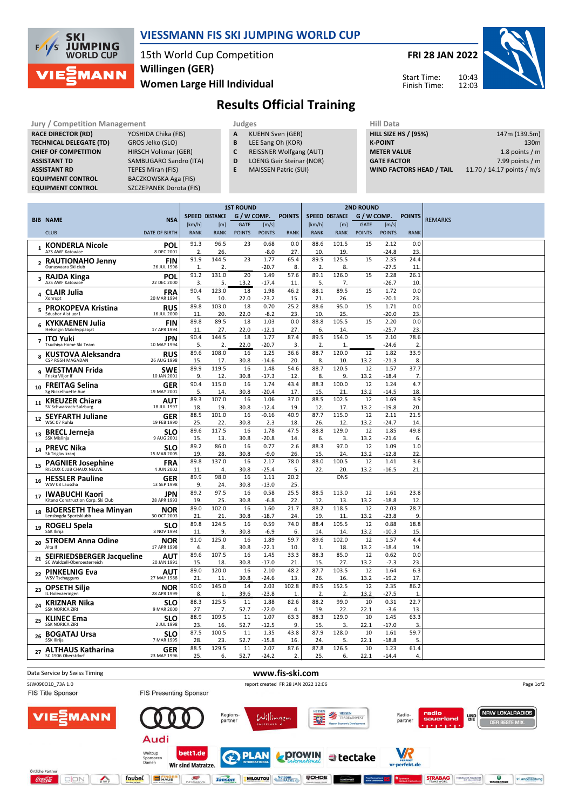

## VIESSMANN FIS SKI JUMPING WORLD CUP

15th World Cup Competition Women Large Hill Individual Willingen (GER)

FRI 28 JAN 2022



Start Time: Finish Time:

## Results Official Training

| <b>Jury / Competition Management</b> |                        |   | Judges                          | <b>Hill Data</b>   |
|--------------------------------------|------------------------|---|---------------------------------|--------------------|
| <b>RACE DIRECTOR (RD)</b>            | YOSHIDA Chika (FIS)    | A | <b>KUEHN Sven (GER)</b>         | <b>HILL SIZE H</b> |
| <b>TECHNICAL DELEGATE (TD)</b>       | GROS Jelko (SLO)       | B | LEE Sang Oh (KOR)               | <b>K-POINT</b>     |
| <b>CHIEF OF COMPETITION</b>          | HIRSCH Volkmar (GER)   |   | <b>REISSNER Wolfgang (AUT)</b>  | <b>METER VA</b>    |
| <b>ASSISTANT TD</b>                  | SAMBUGARO Sandro (ITA) | D | <b>LOENG Geir Steinar (NOR)</b> | <b>GATE FACT</b>   |
| <b>ASSISTANT RD</b>                  | TEPES Miran (FIS)      |   | <b>MAISSEN Patric (SUI)</b>     | <b>WIND FAC</b>    |
| <b>EQUIPMENT CONTROL</b>             | BACZKOWSKA Aga (FIS)   |   |                                 |                    |
| <b>COURDINATIVE CONTROL</b>          | $CZCTDANDUD2 = 1501$   |   |                                 |                    |

YOSHIDA Chika (FIS) GROS Jelko (SLO) HIRSCH Volkmar (GER) SAMBUGARO Sandro (ITA) TEPES Miran (FIS) BACZKOWSKA Aga (FIS) EQUIPMENT CONTROL SZCZEPANEK Dorota (FIS)

|   | Juuges                  |  |
|---|-------------------------|--|
| А | <b>KUEHN Sven (GER)</b> |  |

- **B** LEE Sang Oh (KOR)<br>**C** REISSNER Wolfgang
	- REISSNER Wolfgang (AUT)
- D LOENG Geir Steinar (NOR)
- E MAISSEN Patric (SUI)

| нііі рата                   |                            |
|-----------------------------|----------------------------|
| <b>HILL SIZE HS / (95%)</b> | 147m (139.5m)              |
| K-POINT                     | 130 <sub>m</sub>           |
| <b>METER VALUE</b>          | 1.8 points / $m$           |
| <b>GATE FACTOR</b>          | 7.99 points $/m$           |
| WIND FACTORS HEAD / TAIL    | 11.70 / 14.17 points / m/s |

|                 |                                                             |                           |                                      | <b>1ST ROUND</b>      |               |                                      | <b>2ND ROUND</b> |                        |                       |               |                 |                        |                |
|-----------------|-------------------------------------------------------------|---------------------------|--------------------------------------|-----------------------|---------------|--------------------------------------|------------------|------------------------|-----------------------|---------------|-----------------|------------------------|----------------|
|                 |                                                             |                           | <b>SPEED DISTANCE</b><br>G / W COMP. |                       | <b>POINTS</b> | <b>SPEED DISTANCE</b><br>G / W COMP. |                  |                        |                       | <b>POINTS</b> |                 |                        |                |
|                 | <b>BIB NAME</b>                                             | <b>NSA</b>                | [km/h]                               | [m]                   | <b>GATE</b>   | [m/s]                                |                  | [km/h]                 | [m]                   | <b>GATE</b>   | [m/s]           |                        | <b>REMARKS</b> |
|                 | <b>CLUB</b>                                                 | <b>DATE OF BIRTH</b>      | <b>RANK</b>                          | <b>RANK</b>           | <b>POINTS</b> | <b>POINTS</b>                        | <b>RANK</b>      | <b>RANK</b>            | <b>RANK</b>           | <b>POINTS</b> | <b>POINTS</b>   | <b>RANK</b>            |                |
| $\mathbf{1}$    | <b>KONDERLA Nicole</b><br><b>AZS AWF Katowice</b>           | POI<br>8 DEC 2001         | 91.3<br>2                            | 96.5<br>26.           | 23            | 0.68<br>$-8.0$                       | 0.0<br>27.       | 88.6<br>10.            | 101.5<br>19.          | 15            | 2.12<br>$-24.8$ | 0.0<br>23              |                |
| $\mathbf{2}$    | <b>RAUTIONAHO Jenny</b><br>Ounasvaara Ski club              | <b>FIN</b><br>26 JUL 1996 | 91.9<br>$\mathbf{1}$                 | 144.5<br>2.           | 23            | 1.77<br>$-20.7$                      | 65.4<br>8.       | 89.5<br>2.             | 125.5<br>8.           | 15            | 2.35<br>-27.5   | 24.4<br>11             |                |
| 3               | <b>RAJDA Kinga</b><br><b>AZS AWF Katowice</b>               | POI<br>22 DEC 2000        | 91.2<br>3.                           | 131.0<br>5.           | 20<br>13.2    | 1.49<br>$-17.4$                      | 57.6<br>11.      | 89.1<br>.5.            | 126.0<br>7.           | 15            | 2.28<br>-26.7   | 26.1<br>10             |                |
| 4               | <b>CLAIR Julia</b><br>Xonrupt                               | <b>FRA</b><br>20 MAR 1994 | 90.4<br>5.                           | 123.0<br>10.          | 18<br>22.0    | 1.98<br>$-23.2$                      | 46.2<br>15.      | 88.1<br>21.            | 89.5<br>26.           | 15            | 1.72<br>$-20.1$ | 0.0<br>23              |                |
| 5               | <b>PROKOPEVA Kristina</b><br>Sdushor Aist uor1              | <b>RUS</b><br>16 JUL 2000 | 89.8<br>11                           | 103.0<br>20.          | 18<br>22.0    | 0.70<br>$-8.2$                       | 25.2<br>23.      | 88.6<br>10.            | 95.0<br>25.           | 15            | 1.71<br>$-20.0$ | 0.0<br>23.             |                |
| 6               | <b>KYKKAENEN Julia</b><br>Helsingin Makihyppaajat           | <b>FIN</b><br>17 APR 1994 | 89.8<br>11                           | 89.5<br>27            | 18<br>22.0    | 1.03<br>$-12.1$                      | 0.0<br>27.       | 88.8<br>6.             | 105.5<br>14.          | 15            | 2.20<br>$-25.7$ | 0.0<br>23              |                |
| $\overline{ }$  | <b>ITO Yuki</b><br>Tsuchiya Home Ski Team                   | JPN<br>10 MAY 1994        | 90.4<br>.5                           | 144.5<br>2            | 18<br>22.0    | 1.77<br>$-20.7$                      | 87.4<br>3.       | 89.5<br>2.             | 154.0<br>$\mathbf{1}$ | 15            | 2.10<br>$-24.6$ | 78.6<br>2              |                |
| 8               | <b>KUSTOVA Aleksandra</b><br>CSP RGSH MAGADAN               | <b>RUS</b><br>26 AUG 1998 | 89.6<br>15.                          | 108.0<br>17.          | 16<br>30.8    | 1.25<br>$-14.6$                      | 36.6<br>20.      | 88.7<br>8.             | 120.0<br>10.          | 12<br>13.2    | 1.82<br>-21.3   | 33.9<br>8              |                |
| 9               | <b>WESTMAN Frida</b><br>Friska Vilior if                    | <b>SWE</b><br>10 JAN 2001 | 89.9<br>9.                           | 119.5<br>12.          | 16<br>30.8    | 1.48<br>$-17.3$                      | 54.6<br>12.      | 88.7<br>8.             | 120.5<br>9.           | 12<br>13.2    | 1.57<br>$-18.4$ | 37.7<br>7.             |                |
| 10              | <b>FREITAG Selina</b><br>Sg Nickelhuette Aue                | <b>GER</b><br>19 MAY 2001 | 90.4<br>5.                           | 115.0<br>14           | 16<br>30.8    | 1.74<br>$-20.4$                      | 43.4<br>17.      | 88.3<br>15.            | 100.0<br>21.          | 12<br>13.2    | 1.24<br>-14.5   | 4.7<br>18              |                |
| 11              | <b>KREUZER Chiara</b><br>SV Schwarzach-Salzburg             | AUT<br>18 JUL 1997        | 89.3<br>18                           | 107.0<br>19.          | 16<br>30.8    | 1.06<br>$-12.4$                      | 37.0<br>19.      | 88.5<br>12.            | 102.5<br>17.          | 12<br>13.2    | 1.69<br>-19.8   | 3.9<br>20              |                |
| 12 <sup>1</sup> | <b>SEYFARTH Juliane</b><br>WSC 07 Ruhla                     | <b>GER</b><br>19 FEB 1990 | 88.5<br>25.                          | 101.0<br>22           | 16<br>30.8    | $-0.16$<br>2.3                       | 40.9<br>18.      | 87.7<br>26.            | 115.0<br>12.          | 12<br>13.2    | 2.11<br>$-24.7$ | 21.5<br>14             |                |
| 13              | <b>BRECL Jerneja</b><br><b>SSK Mislinja</b>                 | <b>SLO</b><br>9 AUG 2001  | 89.6<br>15.                          | 117.5<br>13           | 16<br>30.8    | 1.78<br>$-20.8$                      | 47.5<br>14.      | 88.8<br>6.             | 129.0<br>3.           | 12<br>13.2    | 1.85<br>$-21.6$ | 49.8<br>6.             |                |
| 14              | <b>PREVC Nika</b><br>Sk Triglav kranj                       | <b>SLO</b><br>15 MAR 2005 | 89.2<br>19                           | 86.0<br>28            | 16<br>30.8    | 0.77<br>$-9.0$                       | 2.6<br>26.       | 88.3<br>15.            | 97.0<br>24.           | 12<br>13.2    | 1.09<br>$-12.8$ | 1.0<br>22              |                |
| 15              | <b>PAGNIER Josephine</b><br>RISOUX CLUB CHAUX NEUVE         | <b>FRA</b><br>4 JUN 2002  | 89.8<br>11                           | 137.0<br>4.           | 16<br>30.8    | 2.17<br>$-25.4$                      | 78.0<br>5.       | 88.0<br>22.            | 100.5<br>20.          | 12<br>13.2    | 1.41<br>$-16.5$ | 3.6<br>21              |                |
| 16              | <b>HESSLER Pauline</b><br>WSV 08 Lauscha                    | <b>GER</b><br>13 SEP 1998 | 89.9<br>9                            | 98.0<br>24            | 16<br>30.8    | 1.11<br>$-13.0$                      | 20.2<br>25.      |                        | <b>DNS</b>            |               |                 |                        |                |
| 17              | <b>IWABUCHI Kaori</b><br>Kitano Construction Corp. Ski Club | JPN<br>28 APR 1993        | 89.2<br>19                           | 97.5<br>25            | 16<br>30.8    | 0.58<br>$-6.8$                       | 25.5<br>22       | 88.5<br>12             | 113.0<br>13.          | 12<br>13.2    | 1.61<br>$-18.8$ | 23.8<br>12             |                |
| 18              | <b>BJOERSETH Thea Minvan</b><br>Lensbygda Sportsklubb       | <b>NOR</b><br>30 OCT 2003 | 89.0<br>21                           | 102.0<br>21           | 16<br>30.8    | 1.60<br>-18.7                        | 21.7<br>24.      | 88.2<br>19.            | 118.5<br>11.          | 12<br>13.2    | 2.03<br>-23.8   | 28.7<br>9              |                |
| 19              | ROGELJ Spela<br><b>SSK Ilirija</b>                          | <b>SLO</b><br>8 NOV 1994  | 89.8<br>11                           | 124.5<br>9.           | 16<br>30.8    | 0.59<br>$-6.9$                       | 74.0<br>6.       | 88.4<br>14.            | 105.5<br>14.          | 12<br>13.2    | 0.88<br>$-10.3$ | 18.8<br>15             |                |
| 20              | <b>STROEM Anna Odine</b><br>Alta If                         | <b>NOR</b><br>17 APR 1998 | 91.0<br>4.                           | 125.0<br>8.           | 16<br>30.8    | 1.89<br>$-22.1$                      | 59.7<br>10.      | 89.6<br>1.             | 102.0<br>18.          | 12<br>13.2    | 1.57<br>$-18.4$ | 4.4<br>19              |                |
| 21              | SEIFRIEDSBERGER Jacqueline<br>SC Waldzell-Oberoesterreich   | AUT<br>20 JAN 1991        | 89.6<br>15.                          | 107.5<br>18.          | 16<br>30.8    | 1.45<br>$-17.0$                      | 33.3<br>21.      | 88.3<br>15.            | 85.0<br>27.           | 12<br>13.2    | 0.62<br>$-7.3$  | 0.0<br>23              |                |
| 22              | <b>PINKELNIG Eva</b><br><b>WSV Tschagguns</b>               | AUT<br>27 MAY 1988        | 89.0<br>21                           | 120.0<br>11           | 16<br>30.8    | 2.10<br>$-24.6$                      | 48.2<br>13.      | 87.7<br>26.            | 103.5<br>16.          | 12<br>13.2    | 1.64<br>-19.2   | 6.3<br>17              |                |
| 23              | <b>OPSETH Silje</b><br>IL Holevaeringen                     | <b>NOR</b><br>28 APR 1999 | 90.0<br>8.                           | 145.0<br>$\mathbf{1}$ | 14<br>39.6    | 2.03<br>$-23.8$                      | 102.8<br>1.      | 89.5<br>$\overline{2}$ | 152.5<br>2.           | 12<br>13.2    | 2.35<br>$-27.5$ | 86.2<br>$\mathbf{1}$   |                |
| 24              | KRIZNAR Nika<br><b>SSK NORICA ZIRI</b>                      | <b>SLO</b><br>9 MAR 2000  | 88.3<br>27.                          | 125.5<br>7.           | 11<br>52.7    | 1.88<br>$-22.0$                      | 82.6<br>4.       | 88.2<br>19.            | 99.0<br>22.           | 10<br>22.1    | 0.31<br>$-3.6$  | 22.7<br>13             |                |
| 25              | <b>KLINEC Ema</b><br><b>SSK NORICA ZIRI</b>                 | <b>SLO</b><br>2 JUL 1998  | 88.9<br>23.                          | 109.5<br>16.          | 11<br>52.7    | 1.07<br>$-12.5$                      | 63.3<br>9.       | 88.3<br>15.            | 129.0<br>3.           | 10<br>22.1    | 1.45<br>$-17.0$ | 63.3<br>3.             |                |
| 26              | <b>BOGATAJ Ursa</b><br>SSK Ilirija                          | <b>SLO</b><br>7 MAR 1995  | 87.5<br>28.                          | 100.5<br>23           | 11<br>52.7    | 1.35<br>$-15.8$                      | 43.8<br>16.      | 87.9<br>24.            | 128.0<br>5.           | 10<br>22.1    | 1.61<br>$-18.8$ | 59.7<br>5              |                |
| 27              | <b>ALTHAUS Katharina</b><br>SC 1906 Oberstdorf              | <b>GER</b><br>23 MAY 1996 | 88.5<br>25.                          | 129.5<br>6.           | 11<br>52.7    | 2.07<br>$-24.2$                      | 87.6<br>2.       | 87.8<br>25.            | 126.5<br>6.           | 10<br>22.1    | 1.23<br>$-14.4$ | 61.4<br>$\overline{4}$ |                |